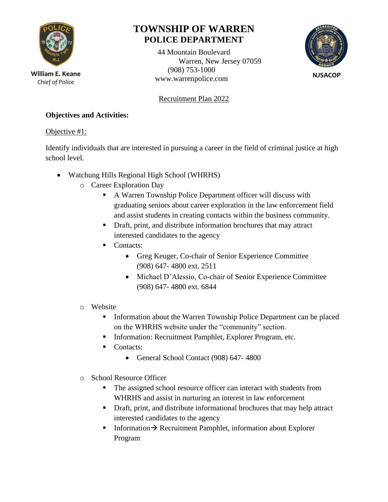

*Chief of Police*

# **TOWNSHIP OF WARREN POLICE DEPARTMENT**

44 Mountain Boulevard Warren, New Jersey 07059 (908) 753-1000 William E. Keane<br>
Chief of Police<br>
Chief of Police



**NJSACOP**

Recruitment Plan 2022

#### **Objectives and Activities:**

Objective #1:

Identify individuals that are interested in pursuing a career in the field of criminal justice at high school level.

- Watchung Hills Regional High School (WHRHS)
	- o Career Exploration Day
		- A Warren Township Police Department officer will discuss with graduating seniors about career exploration in the law enforcement field and assist students in creating contacts within the business community.
		- **•** Draft, print, and distribute information brochures that may attract interested candidates to the agency
		- Contacts:
			- Greg Keuger, Co-chair of Senior Experience Committee (908) 647- 4800 ext. 2511
			- Michael D'Alessio, Co-chair of Senior Experience Committee (908) 647- 4800 ext. 6844
	- o Website
		- **•** Information about the Warren Township Police Department can be placed on the WHRHS website under the "community" section.
		- Information: Recruitment Pamphlet, Explorer Program, etc.
		- Contacts:
			- General School Contact (908) 647- 4800
	- o School Resource Officer
		- The assigned school resource officer can interact with students from WHRHS and assist in nurturing an interest in law enforcement
		- Draft, print, and distribute informational brochures that may help attract interested candidates to the agency
		- Information→ Recruitment Pamphlet, information about Explorer Program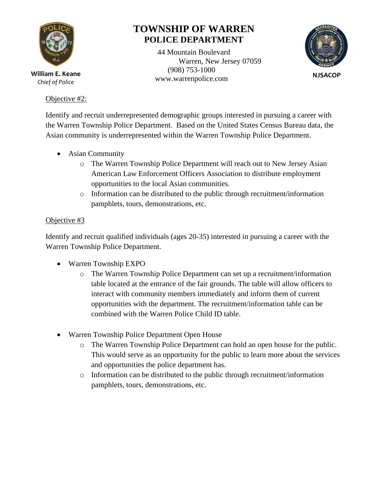

*Chief of Police*

#### Objective #2:

# **TOWNSHIP OF WARREN POLICE DEPARTMENT**

44 Mountain Boulevard Warren, New Jersey 07059 (908) 753-1000 William E. Keane<br>
Chief of Police<br>
Chief of Police



Identify and recruit underrepresented demographic groups interested in pursuing a career with the Warren Township Police Department. Based on the United States Census Bureau data, the Asian community is underrepresented within the Warren Township Police Department.

- Asian Community
	- o The Warren Township Police Department will reach out to New Jersey Asian American Law Enforcement Officers Association to distribute employment opportunities to the local Asian communities.
	- $\circ$  Information can be distributed to the public through recruitment/information pamphlets, tours, demonstrations, etc.

#### Objective #3

Identify and recruit qualified individuals (ages 20-35) interested in pursuing a career with the Warren Township Police Department.

- Warren Township EXPO
	- o The Warren Township Police Department can set up a recruitment/information table located at the entrance of the fair grounds. The table will allow officers to interact with community members immediately and inform them of current opportunities with the department. The recruitment/information table can be combined with the Warren Police Child ID table.
- Warren Township Police Department Open House
	- o The Warren Township Police Department can hold an open house for the public. This would serve as an opportunity for the public to learn more about the services and opportunities the police department has.
	- $\circ$  Information can be distributed to the public through recruitment/information pamphlets, tours, demonstrations, etc.